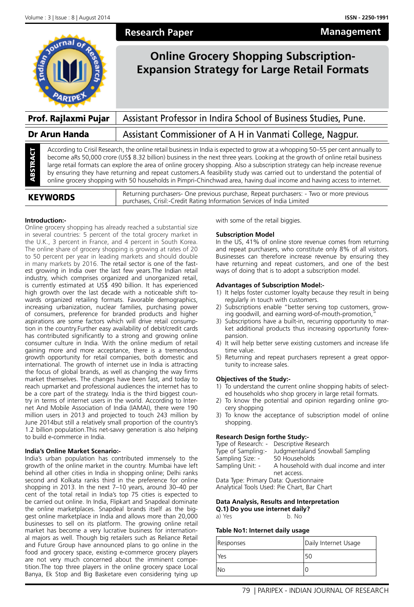**Management**



**Research Paper**

# **Online Grocery Shopping Subscription-Expansion Strategy for Large Retail Formats**

| Prof. Rajlaxmi Pujar                  |  | Assistant Professor in Indira School of Business Studies, Pune.                                                                                                                                                                                                                                                                                                                                                                                                                                                                                                                                                                                       |  |
|---------------------------------------|--|-------------------------------------------------------------------------------------------------------------------------------------------------------------------------------------------------------------------------------------------------------------------------------------------------------------------------------------------------------------------------------------------------------------------------------------------------------------------------------------------------------------------------------------------------------------------------------------------------------------------------------------------------------|--|
| Dr Arun Handa                         |  | Assistant Commissioner of A H in Vanmati College, Nagpur.                                                                                                                                                                                                                                                                                                                                                                                                                                                                                                                                                                                             |  |
| ā<br>TRA<br>阁<br>$\blacktriangleleft$ |  | According to Crisil Research, the online retail business in India is expected to grow at a whopping 50–55 per cent annually to<br>become aRs 50,000 crore (US\$ 8.32 billion) business in the next three years. Looking at the growth of online retail business<br>large retail formats can explore the area of online grocery shopping. Also a subscription strategy can help increase revenue<br>by ensuring they have returning and repeat customers. A feasibility study was carried out to understand the potential of<br>online grocery shopping with 50 households in Pimpri-Chinchwad area, having dual income and having access to internet. |  |

| <b>KEYWORDS</b> | Returning purchasers- One previous purchase, Repeat purchasers: - Two or more previous<br>purchases, Crisil:-Credit Rating Information Services of India Limited |
|-----------------|------------------------------------------------------------------------------------------------------------------------------------------------------------------|

# **Introduction:-**

Online grocery shopping has already reached a substantial size in several countries: 5 percent of the total grocery market in the U.K., 3 percent in France, and 4 percent in South Korea. The online share of grocery shopping is growing at rates of 20 to 50 percent per year in leading markets and should double in many markets by 2016. The retail sector is one of the fastest growing in India over the last few years.The Indian retail industry, which comprises organized and unorganized retail, is currently estimated at US\$ 490 billion. It has experienced high growth over the last decade with a noticeable shift towards organized retailing formats. Favorable demographics, increasing urbanization, nuclear families, purchasing power of consumers, preference for branded products and higher aspirations are some factors which will drive retail consumption in the country.Further easy availability of debit/credit cards has contributed significantly to a strong and growing online consumer culture in India. With the online medium of retail gaining more and more acceptance, there is a tremendous growth opportunity for retail companies, both domestic and international. The growth of internet use in India is attracting the focus of global brands, as well as changing the way firms market themselves. The changes have been fast, and today to reach upmarket and professional audiences the internet has to be a core part of the strategy. India is the third biggest country in terms of internet users in the world. According to Internet And Mobile Association of India (IAMAI), there were 190 million users in 2013 and projected to touch 243 million by June 2014but still a relatively small proportion of the country's 1.2 billion population.This net-savvy generation is also helping to build e-commerce in India.

# **India's Online Market Scenario:-**

India's urban population has contributed immensely to the growth of the online market in the country. Mumbai have left behind all other cities in India in shopping online; Delhi ranks second and Kolkata ranks third in the preference for online shopping in 2013. In the next 7–10 years, around 30–40 per cent of the total retail in India's top 75 cities is expected to be carried out online. In India, Flipkart and Snapdeal dominate the online marketplaces. Snapdeal brands itself as the biggest online marketplace in India and allows more than 20,000 businesses to sell on its platform. The growing online retail market has become a very lucrative business for international majors as well. Though big retailers such as Reliance Retail and Future Group have announced plans to go online in the food and grocery space, existing e-commerce grocery players are not very much concerned about the imminent competition.The top three players in the online grocery space Local Banya, Ek Stop and Big Basketare even considering tying up with some of the retail biggies.

# **Subscription Model**

In the US, 41% of online store revenue comes from returning and repeat purchasers, who constitute only 8% of all visitors. Businesses can therefore increase revenue by ensuring they have returning and repeat customers, and one of the best ways of doing that is to adopt a subscription model.

# **Advantages of Subscription Model:-**

- 1) It helps foster customer loyalty because they result in being regularly in touch with customers.
- 2) Subscriptions enable "better serving top customers, growing goodwill, and earning word-of-mouth-promotion,
- 3) Subscriptions have a built-in, recurring opportunity to market additional products thus increasing opportunity forexpansion.
- 4) It will help better serve existing customers and increase life time value.
- 5) Returning and repeat purchasers represent a great opportunity to increase sales.

# **Objectives of the Study:-**

- 1) To understand the current online shopping habits of selected households who shop grocery in large retail formats.
- 2) To know the potential and opinion regarding online grocery shopping
- 3) To know the acceptance of subscription model of online shopping.

# **Research Design forthe Study:-**

|                                             | Type of Research: - Descriptive Research |  |
|---------------------------------------------|------------------------------------------|--|
| Type of Sampling:-                          | Judgmentaland Snowball Sampling          |  |
| Sampling Size: -                            | 50 Households                            |  |
| Sampling Unit: -                            | A household with dual income and inter   |  |
|                                             | net access.                              |  |
| Data Type: Primary Data: Questionnaire      |                                          |  |
| Analytical Tools Used: Pie Chart, Bar Chart |                                          |  |
|                                             |                                          |  |

# **Data Analysis, Results and Interpretation**

**Q.1) Do you use internet daily?**

a) Yes b. No

# **Table No1: Internet daily usage**

| Responses  | Daily Internet Usage |
|------------|----------------------|
| <b>Yes</b> | 50                   |
| lNo        |                      |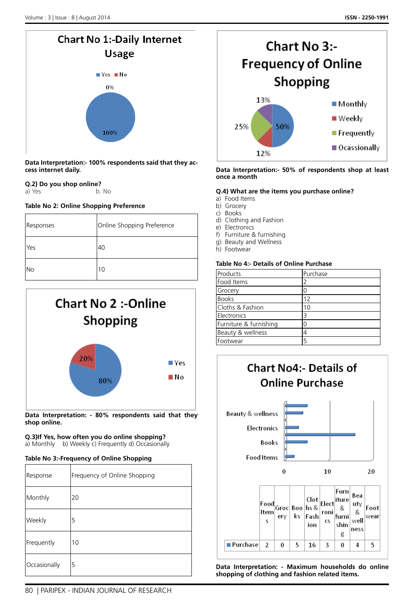

**Data Interpretation:- 100% respondents said that they access internet daily.**

#### **Q.2) Do you shop online?** a) Yes b. No

# **Table No 2: Online Shopping Preference**

| Responses  | Online Shopping Preference |
|------------|----------------------------|
| <b>Yes</b> | 40                         |
| lNo        | 10                         |



**Data Interpretation: - 80% respondents said that they shop online.**

#### **Q.3)If Yes, how often you do online shopping?** a) Monthly b) Weekly c) Frequently d) Occasionally

# **Table No 3:-Frequency of Online Shopping**

| Response     | Frequency of Online Shopping |
|--------------|------------------------------|
| Monthly      | 20                           |
| Weekly       | 5                            |
| Frequently   | 10                           |
| Occasionally | 5                            |



# **Data Interpretation:- 50% of respondents shop at least once a month**

# **Q.4) What are the items you purchase online?**

- a) Food Items
- b) Grocery
- c) Books
- d) Clothing and Fashion
- e) Electronics
- f) Furniture & furnishing g) Beauty and Wellness
- h) Footwear
- 

# **Table No 4:- Details of Online Purchase**

| Products               | Purchase |
|------------------------|----------|
| Food Items             |          |
| Grocery                |          |
| <b>Books</b>           | 12       |
| Cloths & Fashion       | 10       |
| Electronics            | ₹        |
| Furniture & furnishing | U        |
| Beauty & wellness      |          |
| Footwear               | 5        |



**Data Interpretation: - Maximum households do online shopping of clothing and fashion related items.**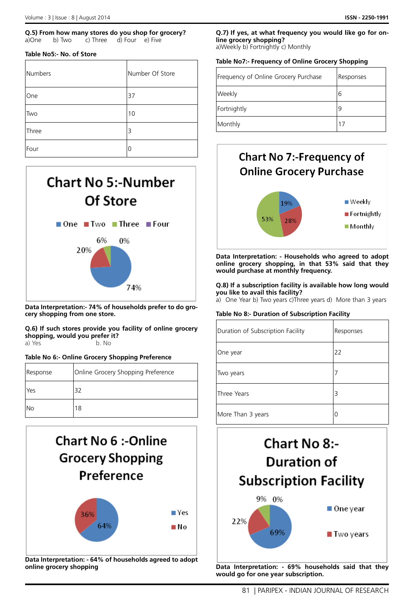### **Q.5) From how many stores do you shop for grocery?** a)One b) Two c) Three d) Four e) Five

# **Table No5:- No. of Store**

| Numbers    | Number Of Store |
|------------|-----------------|
| <b>One</b> | 37              |
| <b>Two</b> | 10              |
| Three      | 3               |
| Four       | Ω               |



**Data Interpretation:- 74% of households prefer to do grocery shopping from one store.**

**Q.6) If such stores provide you facility of online grocery shopping, would you prefer it?** a) Yes b. No

# **Table No 6:- Online Grocery Shopping Preference**

| Response | Online Grocery Shopping Preference |  |
|----------|------------------------------------|--|
| l Yes    | 32                                 |  |
| INo      | 8                                  |  |



**Data Interpretation: - 64% of households agreed to adopt online grocery shopping** 

# **Q.7) If yes, at what frequency you would like go for online grocery shopping?**

a)Weekly b) Fortnightly c) Monthly

# **Table No7:- Frequency of Online Grocery Shopping**

| Frequency of Online Grocery Purchase | Responses |
|--------------------------------------|-----------|
| Weekly                               | 6         |
| Fortnightly                          | 9         |
| Monthly                              |           |



**Data Interpretation: - Households who agreed to adopt online grocery shopping, in that 53% said that they would purchase at monthly frequency.**

**Q.8) If a subscription facility is available how long would you like to avail this facility?**

a) One Year b) Two years c)Three years d) More than 3 years

# **Table No 8:- Duration of Subscription Facility**

| Duration of Subscription Facility | Responses |
|-----------------------------------|-----------|
| One year                          | 22        |
| Two years                         |           |
| Three Years                       | 3         |
| More Than 3 years                 | 0         |



**Data Interpretation: - 69% households said that they would go for one year subscription.**